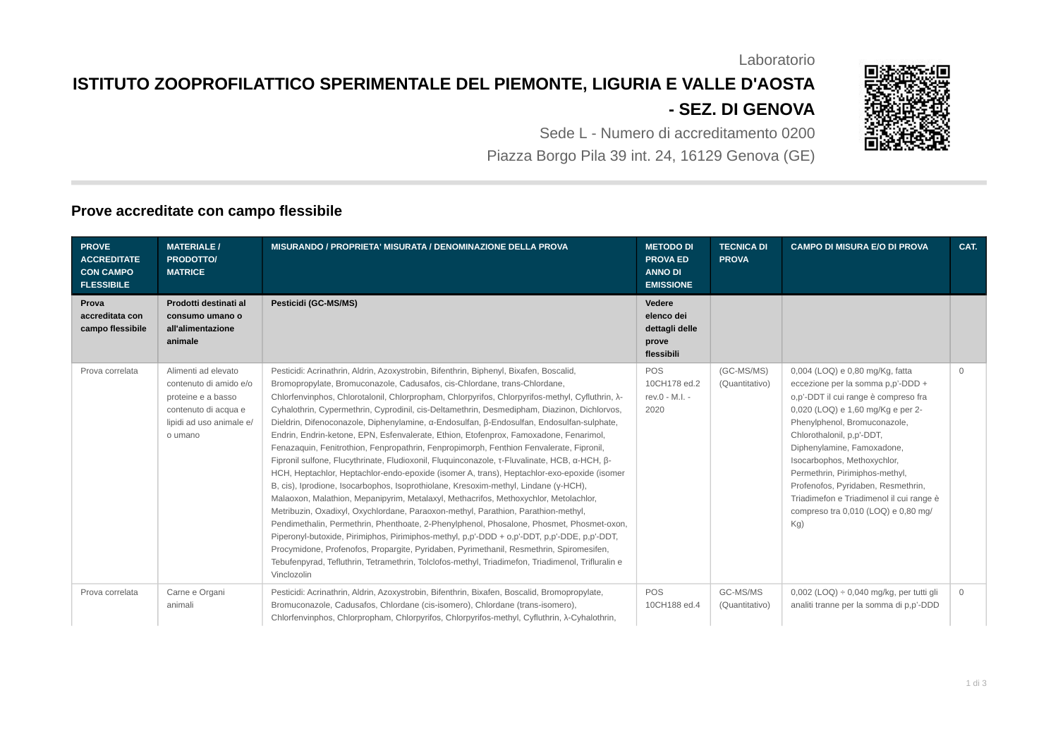Laboratorio

## **ISTITUTO ZOOPROFILATTICO SPERIMENTALE DEL PIEMONTE, LIGURIA E VALLE D'AOSTA - SEZ. DI GENOVA**

Sede L - Numero di accreditamento 0200 Piazza Borgo Pila 39 int. 24, 16129 Genova (GE)

## **Prove accreditate con campo flessibile**

| <b>PROVE</b><br><b>ACCREDITATE</b><br><b>CON CAMPO</b><br><b>FLESSIBILE</b> | <b>MATERIALE /</b><br><b>PRODOTTO/</b><br><b>MATRICE</b>                                                                           | <b>MISURANDO / PROPRIETA' MISURATA / DENOMINAZIONE DELLA PROVA</b>                                                                                                                                                                                                                                                                                                                                                                                                                                                                                                                                                                                                                                                                                                                                                                                                                                                                                                                                                                                                                                                                                                                                                                                                                                                                                                                                                                                                                                                                          | <b>METODO DI</b><br><b>PROVA ED</b><br><b>ANNO DI</b><br><b>EMISSIONE</b> | <b>TECNICA DI</b><br><b>PROVA</b> | <b>CAMPO DI MISURA E/O DI PROVA</b>                                                                                                                                                                                                                                                                                                                                                                                                           | CAT.         |
|-----------------------------------------------------------------------------|------------------------------------------------------------------------------------------------------------------------------------|---------------------------------------------------------------------------------------------------------------------------------------------------------------------------------------------------------------------------------------------------------------------------------------------------------------------------------------------------------------------------------------------------------------------------------------------------------------------------------------------------------------------------------------------------------------------------------------------------------------------------------------------------------------------------------------------------------------------------------------------------------------------------------------------------------------------------------------------------------------------------------------------------------------------------------------------------------------------------------------------------------------------------------------------------------------------------------------------------------------------------------------------------------------------------------------------------------------------------------------------------------------------------------------------------------------------------------------------------------------------------------------------------------------------------------------------------------------------------------------------------------------------------------------------|---------------------------------------------------------------------------|-----------------------------------|-----------------------------------------------------------------------------------------------------------------------------------------------------------------------------------------------------------------------------------------------------------------------------------------------------------------------------------------------------------------------------------------------------------------------------------------------|--------------|
| Prova<br>accreditata con<br>campo flessibile                                | Prodotti destinati al<br>consumo umano o<br>all'alimentazione<br>animale                                                           | <b>Pesticidi (GC-MS/MS)</b>                                                                                                                                                                                                                                                                                                                                                                                                                                                                                                                                                                                                                                                                                                                                                                                                                                                                                                                                                                                                                                                                                                                                                                                                                                                                                                                                                                                                                                                                                                                 | Vedere<br>elenco dei<br>dettagli delle<br>prove<br>flessibili             |                                   |                                                                                                                                                                                                                                                                                                                                                                                                                                               |              |
| Prova correlata                                                             | Alimenti ad elevato<br>contenuto di amido e/o<br>proteine e a basso<br>contenuto di acqua e<br>lipidi ad uso animale e/<br>o umano | Pesticidi: Acrinathrin, Aldrin, Azoxystrobin, Bifenthrin, Biphenyl, Bixafen, Boscalid,<br>Bromopropylate, Bromuconazole, Cadusafos, cis-Chlordane, trans-Chlordane,<br>Chlorfenvinphos, Chlorotalonil, Chlorpropham, Chlorpyrifos, Chlorpyrifos-methyl, Cyfluthrin, $\lambda$ -<br>Cyhalothrin, Cypermethrin, Cyprodinil, cis-Deltamethrin, Desmedipham, Diazinon, Dichlorvos,<br>Dieldrin, Difenoconazole, Diphenylamine, α-Endosulfan, β-Endosulfan, Endosulfan-sulphate,<br>Endrin, Endrin-ketone, EPN, Esfenvalerate, Ethion, Etofenprox, Famoxadone, Fenarimol,<br>Fenazaquin, Fenitrothion, Fenpropathrin, Fenpropimorph, Fenthion Fenvalerate, Fipronil,<br>Fipronil sulfone, Flucythrinate, Fludioxonil, Fluquinconazole, τ-Fluvalinate, HCB, α-HCH, β-<br>HCH, Heptachlor, Heptachlor-endo-epoxide (isomer A, trans), Heptachlor-exo-epoxide (isomer<br>B, cis), Iprodione, Isocarbophos, Isoprothiolane, Kresoxim-methyl, Lindane (y-HCH),<br>Malaoxon, Malathion, Mepanipyrim, Metalaxyl, Methacrifos, Methoxychlor, Metolachlor,<br>Metribuzin, Oxadixyl, Oxychlordane, Paraoxon-methyl, Parathion, Parathion-methyl,<br>Pendimethalin, Permethrin, Phenthoate, 2-Phenylphenol, Phosalone, Phosmet, Phosmet-oxon,<br>Piperonyl-butoxide, Pirimiphos, Pirimiphos-methyl, p,p'-DDD + 0,p'-DDT, p,p'-DDE, p,p'-DDT,<br>Procymidone, Profenofos, Propargite, Pyridaben, Pyrimethanil, Resmethrin, Spiromesifen,<br>Tebufenpyrad, Tefluthrin, Tetramethrin, Tolclofos-methyl, Triadimefon, Triadimenol, Trifluralin e<br>Vinclozolin | <b>POS</b><br>10CH178 ed.2<br>rev.0 - M.I. -<br>2020                      | (GC-MS/MS)<br>(Quantitativo)      | 0,004 (LOO) e 0,80 mg/Kg, fatta<br>eccezione per la somma p,p'-DDD +<br>o,p'-DDT il cui range è compreso fra<br>0,020 (LOQ) e 1,60 mg/Kg e per 2-<br>Phenylphenol, Bromuconazole,<br>Chlorothalonil, p.p'-DDT,<br>Diphenylamine, Famoxadone,<br>Isocarbophos, Methoxychlor,<br>Permethrin, Pirimiphos-methyl,<br>Profenofos, Pyridaben, Resmethrin,<br>Triadimefon e Triadimenol il cui range è<br>compreso tra 0,010 (LOQ) e 0,80 mg/<br>Kg) | $\Omega$     |
| Prova correlata                                                             | Carne e Organi<br>animali                                                                                                          | Pesticidi: Acrinathrin, Aldrin, Azoxystrobin, Bifenthrin, Bixafen, Boscalid, Bromopropylate,<br>Bromuconazole, Cadusafos, Chlordane (cis-isomero), Chlordane (trans-isomero),<br>Chlorfenvinphos, Chlorpropham, Chlorpyrifos, Chlorpyrifos-methyl, Cyfluthrin, $\lambda$ -Cyhalothrin,                                                                                                                                                                                                                                                                                                                                                                                                                                                                                                                                                                                                                                                                                                                                                                                                                                                                                                                                                                                                                                                                                                                                                                                                                                                      | POS<br>10CH188 ed.4                                                       | GC-MS/MS<br>(Quantitativo)        | $0,002$ (LOQ) ÷ 0,040 mg/kg, per tutti gli<br>analiti tranne per la somma di p,p'-DDD                                                                                                                                                                                                                                                                                                                                                         | $\mathbf{0}$ |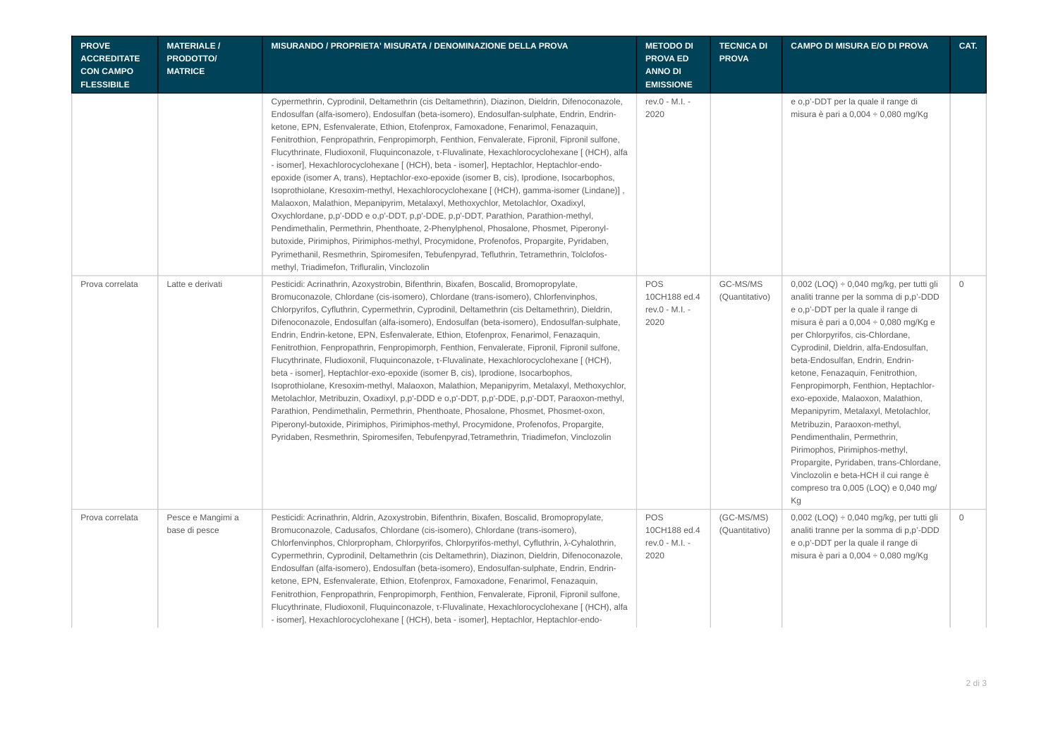| <b>PROVE</b><br><b>ACCREDITATE</b><br><b>CON CAMPO</b><br><b>FLESSIBILE</b> | <b>MATERIALE /</b><br><b>PRODOTTOI</b><br><b>MATRICE</b> | MISURANDO / PROPRIETA' MISURATA / DENOMINAZIONE DELLA PROVA                                                                                                                                                                                                                                                                                                                                                                                                                                                                                                                                                                                                                                                                                                                                                                                                                                                                                                                                                                                                                                                                                                                                                                                                                                 | <b>METODO DI</b><br><b>PROVA ED</b><br><b>ANNO DI</b><br><b>EMISSIONE</b> | <b>TECNICA DI</b><br><b>PROVA</b> | <b>CAMPO DI MISURA E/O DI PROVA</b>                                                                                                                                                                                                                                                                                                                                                                                                                                                                                                                                                                                                                                                       | CAT.         |
|-----------------------------------------------------------------------------|----------------------------------------------------------|---------------------------------------------------------------------------------------------------------------------------------------------------------------------------------------------------------------------------------------------------------------------------------------------------------------------------------------------------------------------------------------------------------------------------------------------------------------------------------------------------------------------------------------------------------------------------------------------------------------------------------------------------------------------------------------------------------------------------------------------------------------------------------------------------------------------------------------------------------------------------------------------------------------------------------------------------------------------------------------------------------------------------------------------------------------------------------------------------------------------------------------------------------------------------------------------------------------------------------------------------------------------------------------------|---------------------------------------------------------------------------|-----------------------------------|-------------------------------------------------------------------------------------------------------------------------------------------------------------------------------------------------------------------------------------------------------------------------------------------------------------------------------------------------------------------------------------------------------------------------------------------------------------------------------------------------------------------------------------------------------------------------------------------------------------------------------------------------------------------------------------------|--------------|
|                                                                             |                                                          | Cypermethrin, Cyprodinil, Deltamethrin (cis Deltamethrin), Diazinon, Dieldrin, Difenoconazole,<br>Endosulfan (alfa-isomero), Endosulfan (beta-isomero), Endosulfan-sulphate, Endrin, Endrin-<br>ketone, EPN, Esfenvalerate, Ethion, Etofenprox, Famoxadone, Fenarimol, Fenazaquin,<br>Fenitrothion, Fenpropathrin, Fenpropimorph, Fenthion, Fenvalerate, Fipronil, Fipronil sulfone,<br>Flucythrinate, Fludioxonil, Fluguinconazole, t-Fluvalinate, Hexachlorocyclohexane [ (HCH), alfa<br>- isomer], Hexachlorocyclohexane [ (HCH), beta - isomer], Heptachlor, Heptachlor-endo-<br>epoxide (isomer A, trans), Heptachlor-exo-epoxide (isomer B, cis), Iprodione, Isocarbophos,<br>Isoprothiolane, Kresoxim-methyl, Hexachlorocyclohexane [(HCH), gamma-isomer (Lindane)],<br>Malaoxon, Malathion, Mepanipyrim, Metalaxyl, Methoxychlor, Metolachlor, Oxadixyl,<br>Oxychlordane, p,p'-DDD e o,p'-DDT, p,p'-DDE, p,p'-DDT, Parathion, Parathion-methyl,<br>Pendimethalin, Permethrin, Phenthoate, 2-Phenylphenol, Phosalone, Phosmet, Piperonyl-<br>butoxide, Pirimiphos, Pirimiphos-methyl, Procymidone, Profenofos, Propargite, Pyridaben,<br>Pyrimethanil, Resmethrin, Spiromesifen, Tebufenpyrad, Tefluthrin, Tetramethrin, Tolclofos-<br>methyl, Triadimefon, Trifluralin, Vinclozolin | rev.0 - M.I. -<br>2020                                                    |                                   | e o,p'-DDT per la quale il range di<br>misura è pari a $0,004 \div 0,080$ mg/Kg                                                                                                                                                                                                                                                                                                                                                                                                                                                                                                                                                                                                           |              |
| Prova correlata                                                             | Latte e derivati                                         | Pesticidi: Acrinathrin, Azoxystrobin, Bifenthrin, Bixafen, Boscalid, Bromopropylate,<br>Bromuconazole, Chlordane (cis-isomero), Chlordane (trans-isomero), Chlorfenvinphos,<br>Chlorpyrifos, Cyfluthrin, Cypermethrin, Cyprodinil, Deltamethrin (cis Deltamethrin), Dieldrin,<br>Difenoconazole, Endosulfan (alfa-isomero), Endosulfan (beta-isomero), Endosulfan-sulphate,<br>Endrin, Endrin-ketone, EPN, Esfenvalerate, Ethion, Etofenprox, Fenarimol, Fenazaquin,<br>Fenitrothion, Fenpropathrin, Fenpropimorph, Fenthion, Fenvalerate, Fipronil, Fipronil sulfone,<br>Flucythrinate, Fludioxonil, Fluquinconazole, t-Fluvalinate, Hexachlorocyclohexane [ (HCH),<br>beta - isomer], Heptachlor-exo-epoxide (isomer B, cis), Iprodione, Isocarbophos,<br>Isoprothiolane, Kresoxim-methyl, Malaoxon, Malathion, Mepanipyrim, Metalaxyl, Methoxychlor,<br>Metolachlor, Metribuzin, Oxadixyl, p,p'-DDD e o,p'-DDT, p,p'-DDE, p,p'-DDT, Paraoxon-methyl,<br>Parathion, Pendimethalin, Permethrin, Phenthoate, Phosalone, Phosmet, Phosmet-oxon,<br>Piperonyl-butoxide, Pirimiphos, Pirimiphos-methyl, Procymidone, Profenofos, Propargite,<br>Pyridaben, Resmethrin, Spiromesifen, Tebufenpyrad, Tetramethrin, Triadimefon, Vinclozolin                                                      | POS<br>10CH188 ed.4<br>rev.0 - M.I. -<br>2020                             | GC-MS/MS<br>(Quantitativo)        | $0,002$ (LOQ) ÷ 0,040 mg/kg, per tutti gli<br>analiti tranne per la somma di p,p'-DDD<br>e o,p'-DDT per la quale il range di<br>misura è pari a $0,004 \div 0,080$ mg/Kg e<br>per Chlorpyrifos, cis-Chlordane,<br>Cyprodinil, Dieldrin, alfa-Endosulfan,<br>beta-Endosulfan, Endrin, Endrin-<br>ketone, Fenazaquin, Fenitrothion,<br>Fenpropimorph, Fenthion, Heptachlor-<br>exo-epoxide, Malaoxon, Malathion,<br>Mepanipyrim, Metalaxyl, Metolachlor,<br>Metribuzin, Paraoxon-methyl,<br>Pendimenthalin, Permethrin,<br>Pirimophos, Pirimiphos-methyl,<br>Propargite, Pyridaben, trans-Chlordane,<br>Vinclozolin e beta-HCH il cui range è<br>compreso tra 0,005 (LOQ) e 0,040 mg/<br>Kg | $\circ$      |
| Prova correlata                                                             | Pesce e Mangimi a<br>base di pesce                       | Pesticidi: Acrinathrin, Aldrin, Azoxystrobin, Bifenthrin, Bixafen, Boscalid, Bromopropylate,<br>Bromuconazole, Cadusafos, Chlordane (cis-isomero), Chlordane (trans-isomero),<br>Chlorfenvinphos, Chlorpropham, Chlorpyrifos, Chlorpyrifos-methyl, Cyfluthrin, λ-Cyhalothrin,<br>Cypermethrin, Cyprodinil, Deltamethrin (cis Deltamethrin), Diazinon, Dieldrin, Difenoconazole,<br>Endosulfan (alfa-isomero), Endosulfan (beta-isomero), Endosulfan-sulphate, Endrin, Endrin-<br>ketone, EPN, Esfenvalerate, Ethion, Etofenprox, Famoxadone, Fenarimol, Fenazaquin,<br>Fenitrothion, Fenpropathrin, Fenpropimorph, Fenthion, Fenvalerate, Fipronil, Fipronil sulfone,<br>Flucythrinate, Fludioxonil, Fluquinconazole, t-Fluvalinate, Hexachlorocyclohexane [ (HCH), alfa<br>- isomer], Hexachlorocyclohexane [ (HCH), beta - isomer], Heptachlor, Heptachlor-endo-                                                                                                                                                                                                                                                                                                                                                                                                                          | POS<br>10CH188 ed.4<br>rev.0 - M.I. -<br>2020                             | (GC-MS/MS)<br>(Quantitativo)      | $0,002$ (LOQ) ÷ 0,040 mg/kg, per tutti gli<br>analiti tranne per la somma di p,p'-DDD<br>e o,p'-DDT per la quale il range di<br>misura è pari a $0,004 \div 0,080$ mg/Kg                                                                                                                                                                                                                                                                                                                                                                                                                                                                                                                  | $\mathbf{0}$ |